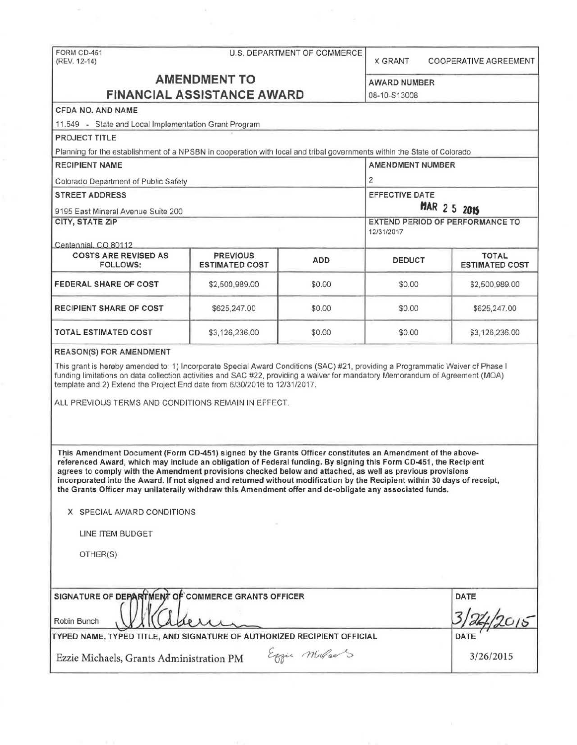FORM CD-451 (REV. 12-14)

 $\omega$ 

# U.S. DEPARTMENT OF COMMERCE

X GRANT COOPERATIVE AGREEMENT

# **AMENDMENT TO FINANCIAL ASSISTANCE AWARD**

AWARD NUMBER

| FINANCIAL ASSISTANCE AWARD                                                                                                                                                                                                                                                                                                                                                                                                                                                                                                                                                        | 08-10-S13008                             |               |                                                 |                                       |  |
|-----------------------------------------------------------------------------------------------------------------------------------------------------------------------------------------------------------------------------------------------------------------------------------------------------------------------------------------------------------------------------------------------------------------------------------------------------------------------------------------------------------------------------------------------------------------------------------|------------------------------------------|---------------|-------------------------------------------------|---------------------------------------|--|
| <b>CFDA NO. AND NAME</b>                                                                                                                                                                                                                                                                                                                                                                                                                                                                                                                                                          |                                          |               |                                                 |                                       |  |
| 11.549 - State and Local Implementation Grant Program                                                                                                                                                                                                                                                                                                                                                                                                                                                                                                                             |                                          |               |                                                 |                                       |  |
| <b>PROJECT TITLE</b>                                                                                                                                                                                                                                                                                                                                                                                                                                                                                                                                                              |                                          |               |                                                 |                                       |  |
| Planning for the establishment of a NPSBN in cooperation with local and tribal governments within the State of Colorado                                                                                                                                                                                                                                                                                                                                                                                                                                                           |                                          |               |                                                 |                                       |  |
| <b>RECIPIENT NAME</b>                                                                                                                                                                                                                                                                                                                                                                                                                                                                                                                                                             |                                          |               | <b>AMENDMENT NUMBER</b>                         |                                       |  |
| Colorado Department of Public Safety                                                                                                                                                                                                                                                                                                                                                                                                                                                                                                                                              |                                          |               | $\overline{2}$                                  |                                       |  |
| <b>STREET ADDRESS</b>                                                                                                                                                                                                                                                                                                                                                                                                                                                                                                                                                             |                                          |               | <b>EFFECTIVE DATE</b>                           |                                       |  |
| 9195 East Mineral Avenue Suite 200<br>CITY, STATE ZIP                                                                                                                                                                                                                                                                                                                                                                                                                                                                                                                             |                                          |               | MAR 2 5 2015<br>EXTEND PERIOD OF PERFORMANCE TO |                                       |  |
|                                                                                                                                                                                                                                                                                                                                                                                                                                                                                                                                                                                   |                                          |               |                                                 |                                       |  |
| Centennial, CO 80112                                                                                                                                                                                                                                                                                                                                                                                                                                                                                                                                                              |                                          |               |                                                 |                                       |  |
| <b>COSTS ARE REVISED AS</b><br>FOLLOWS:                                                                                                                                                                                                                                                                                                                                                                                                                                                                                                                                           | <b>PREVIOUS</b><br><b>ESTIMATED COST</b> | <b>ADD</b>    | DEDUCT                                          | <b>TOTAL</b><br><b>ESTIMATED COST</b> |  |
| <b>FEDERAL SHARE OF COST</b>                                                                                                                                                                                                                                                                                                                                                                                                                                                                                                                                                      | \$2,500,989.00                           | \$0.00        | \$0.00                                          | \$2,500,989.00                        |  |
| <b>RECIPIENT SHARE OF COST</b>                                                                                                                                                                                                                                                                                                                                                                                                                                                                                                                                                    | \$625,247.00                             | \$0.00        | \$0.00                                          | \$625,247.00                          |  |
| <b>TOTAL ESTIMATED COST</b>                                                                                                                                                                                                                                                                                                                                                                                                                                                                                                                                                       | \$3,126,236.00                           | \$0.00        | \$0.00                                          | \$3,126,236.00                        |  |
| <b>REASON(S) FOR AMENDMENT</b>                                                                                                                                                                                                                                                                                                                                                                                                                                                                                                                                                    |                                          |               |                                                 |                                       |  |
| ALL PREVIOUS TERMS AND CONDITIONS REMAIN IN EFFECT.                                                                                                                                                                                                                                                                                                                                                                                                                                                                                                                               |                                          |               |                                                 |                                       |  |
| This Amendment Document (Form CD-451) signed by the Grants Officer constitutes an Amendment of the above-<br>referenced Award, which may include an obligation of Federal funding. By signing this Form CD-451, the Recipient<br>agrees to comply with the Amendment provisions checked below and attached, as well as previous provisions<br>incorporated into the Award. If not signed and returned without modification by the Recipient within 30 days of receipt,<br>the Grants Officer may unilaterally withdraw this Amendment offer and de-obligate any associated funds. |                                          |               |                                                 |                                       |  |
| X SPECIAL AWARD CONDITIONS                                                                                                                                                                                                                                                                                                                                                                                                                                                                                                                                                        |                                          |               |                                                 |                                       |  |
| LINE ITEM BUDGET                                                                                                                                                                                                                                                                                                                                                                                                                                                                                                                                                                  |                                          |               |                                                 |                                       |  |
| OTHER(S)                                                                                                                                                                                                                                                                                                                                                                                                                                                                                                                                                                          |                                          |               |                                                 |                                       |  |
|                                                                                                                                                                                                                                                                                                                                                                                                                                                                                                                                                                                   |                                          |               |                                                 |                                       |  |
| SIGNATURE OF DEPARTMENT OF COMMERCE GRANTS OFFICER                                                                                                                                                                                                                                                                                                                                                                                                                                                                                                                                |                                          |               |                                                 | DATE                                  |  |
| Robin Bunch                                                                                                                                                                                                                                                                                                                                                                                                                                                                                                                                                                       |                                          |               |                                                 |                                       |  |
| TYPED NAME, TYPED TITLE, AND SIGNATURE OF AUTHORIZED RECIPIENT OFFICIAL                                                                                                                                                                                                                                                                                                                                                                                                                                                                                                           |                                          |               |                                                 | DATE                                  |  |
| Ezzie Michaels, Grants Administration PM                                                                                                                                                                                                                                                                                                                                                                                                                                                                                                                                          |                                          | Eggie Millard |                                                 | 3/26/2015                             |  |